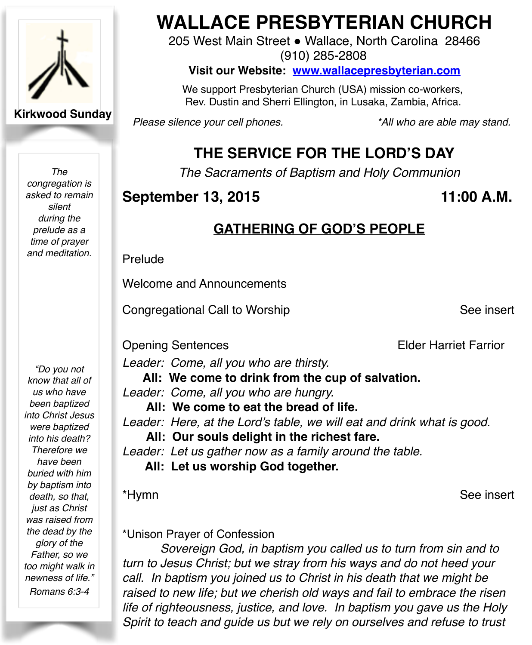

**Kirkwood Sunday**

*The congregation is asked to remain silent during the prelude as a time of prayer and meditation.*

*"Do you not know that all of us who have been baptized into Christ Jesus were baptized into his death? Therefore we have been buried with him by baptism into death, so that, just as Christ was raised from the dead by the glory of the Father, so we too might walk in newness of life." Romans 6:3-4*

# **WALLACE PRESBYTERIAN CHURCH**

205 West Main Street . Wallace, North Carolina 28466 (910) 285-2808

**Visit our Website: [www.wallacepresbyterian.com](http://www.wallacepresbyterian.com)**

 We support Presbyterian Church (USA) mission co-workers, Rev. Dustin and Sherri Ellington, in Lusaka, Zambia, Africa.

*Please silence your cell phones. \*All who are able may stand.*

# **THE SERVICE FOR THE LORD'S DAY**

*The Sacraments of Baptism and Holy Communion*

### **September 13, 2015** 11:00 A.M.

# **GATHERING OF GOD'S PEOPLE**

Prelude

Welcome and Announcements

Congregational Call to Worship ! ! ! See insert

Opening Sentences **Elder Harrior** Elder Harriet Farrior

*Leader: Come, all you who are thirsty.*

**All: We come to drink from the cup of salvation.**

- *Leader: Come, all you who are hungry.* 
	- **All: We come to eat the bread of life.**

*Leader: Here, at the Lord's table, we will eat and drink what is good.*

**All: Our souls delight in the richest fare.**

*Leader: Let us gather now as a family around the table.*

**All: Let us worship God together.**

\*Hymn ! ! ! See insert

\*Unison Prayer of Confession

*Sovereign God, in baptism you called us to turn from sin and to turn to Jesus Christ; but we stray from his ways and do not heed your call. In baptism you joined us to Christ in his death that we might be raised to new life; but we cherish old ways and fail to embrace the risen life of righteousness, justice, and love. In baptism you gave us the Holy Spirit to teach and guide us but we rely on ourselves and refuse to trust*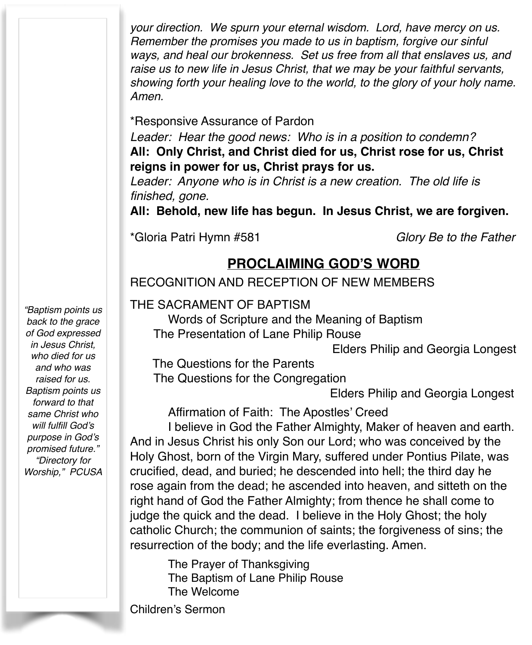*your direction. We spurn your eternal wisdom. Lord, have mercy on us. Remember the promises you made to us in baptism, forgive our sinful ways, and heal our brokenness. Set us free from all that enslaves us, and raise us to new life in Jesus Christ, that we may be your faithful servants, showing forth your healing love to the world, to the glory of your holy name. Amen.*

\*Responsive Assurance of Pardon

*Leader: Hear the good news: Who is in a position to condemn?* **All: Only Christ, and Christ died for us, Christ rose for us, Christ reigns in power for us, Christ prays for us.**

*Leader: Anyone who is in Christ is a new creation. The old life is finished, gone.*

**All: Behold, new life has begun. In Jesus Christ, we are forgiven.**

\*Gloria Patri Hymn #581 *Glory Be to the Father*

### **PROCLAIMING GOD'S WORD**

RECOGNITION AND RECEPTION OF NEW MEMBERS

THE SACRAMENT OF BAPTISM

 Words of Scripture and the Meaning of Baptism The Presentation of Lane Philip Rouse

Elders Philip and Georgia Longest

 The Questions for the Parents The Questions for the Congregation

**Elders Philip and Georgia Longest** 

Affirmation of Faith: The Apostles' Creed

I believe in God the Father Almighty, Maker of heaven and earth. And in Jesus Christ his only Son our Lord; who was conceived by the Holy Ghost, born of the Virgin Mary, suffered under Pontius Pilate, was crucified, dead, and buried; he descended into hell; the third day he rose again from the dead; he ascended into heaven, and sitteth on the right hand of God the Father Almighty; from thence he shall come to judge the quick and the dead. I believe in the Holy Ghost; the holy catholic Church; the communion of saints; the forgiveness of sins; the resurrection of the body; and the life everlasting. Amen.

The Prayer of Thanksgiving The Baptism of Lane Philip Rouse The Welcome

Children's Sermon

*"Baptism points us back to the grace of God expressed in Jesus Christ, who died for us and who was raised for us. Baptism points us forward to that same Christ who will fulfill God's purpose in God's promised future." "Directory for Worship," PCUSA*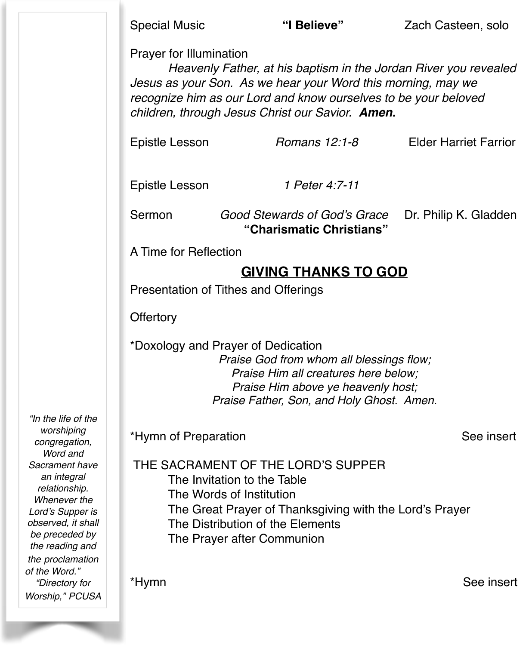Prayer for Illumination

*Heavenly Father, at his baptism in the Jordan River you revealed Jesus as your Son. As we hear your Word this morning, may we recognize him as our Lord and know ourselves to be your beloved children, through Jesus Christ our Savior. Amen.*

Epistle Lesson *Romans 12:1-8* Elder Harriet Farrior

Epistle Lesson *1 Peter 4:7-11*

Sermon *Good Stewards of God's Grace* Dr. Philip K. Gladden !!! **"Charismatic Christians"**

A Time for Reflection

# **GIVING THANKS TO GOD**

Presentation of Tithes and Offerings

**Offertory** 

\*Doxology and Prayer of Dedication

*Praise God from whom all blessings flow; Praise Him all creatures here below; Praise Him above ye heavenly host; Praise Father, Son, and Holy Ghost. Amen.*

\*Hymn of Preparation See insert

*worshiping congregation, Word and Sacrament have an integral relationship. Whenever the Lord's Supper is observed, it shall be preceded by the reading and the proclamation of the Word." "Directory for Worship," PCUSA*

*"In the life of the* 

THE SACRAMENT OF THE LORD'S SUPPER

The Invitation to the Table

- The Words of Institution
- The Great Prayer of Thanksgiving with the Lord's Prayer
- The Distribution of the Elements
- The Prayer after Communion

\*Hymn See insert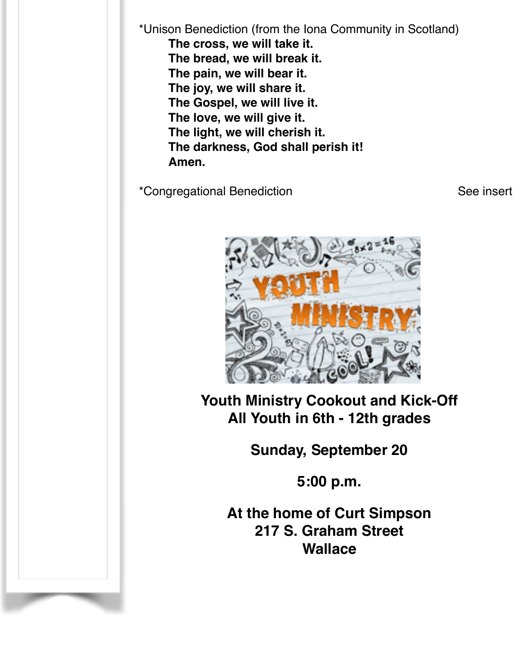\*Unison Benediction (from the Iona Community in Scotland) **The cross, we will take it. The bread, we will break it. The pain, we will bear it. The joy, we will share it. The Gospel, we will live it. The love, we will give it. The light, we will cherish it. The darkness, God shall perish it! Amen.**

\*Congregational Benediction See insert



**Youth Ministry Cookout and Kick-Off All Youth in 6th - 12th grades**

**Sunday, September 20**

**5:00 p.m.**

**At the home of Curt Simpson 217 S. Graham Street Wallace**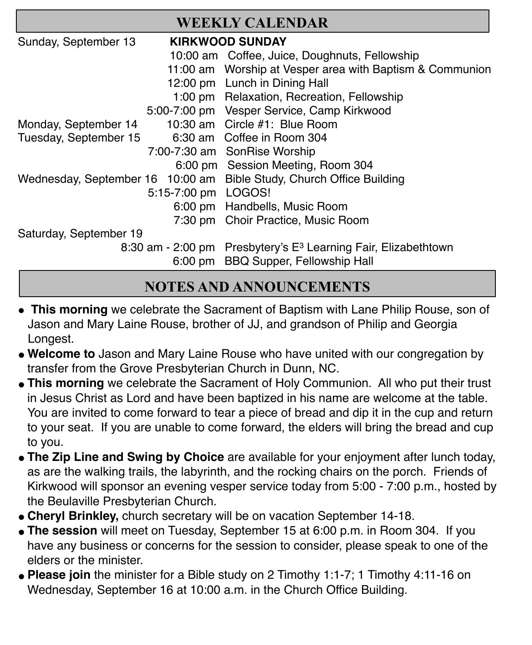| <b>WEEKLY CALENDAR</b> |                        |                                                                            |
|------------------------|------------------------|----------------------------------------------------------------------------|
| Sunday, September 13   | <b>KIRKWOOD SUNDAY</b> |                                                                            |
|                        |                        | 10:00 am Coffee, Juice, Doughnuts, Fellowship                              |
|                        |                        | 11:00 am Worship at Vesper area with Baptism & Communion                   |
|                        |                        | 12:00 pm Lunch in Dining Hall                                              |
|                        |                        | 1:00 pm Relaxation, Recreation, Fellowship                                 |
|                        |                        | 5:00-7:00 pm Vesper Service, Camp Kirkwood                                 |
| Monday, September 14   |                        | 10:30 am Circle #1: Blue Room                                              |
| Tuesday, September 15  |                        | 6:30 am Coffee in Room 304                                                 |
|                        |                        | 7:00-7:30 am SonRise Worship                                               |
|                        |                        | 6:00 pm Session Meeting, Room 304                                          |
|                        |                        | Wednesday, September 16 10:00 am Bible Study, Church Office Building       |
|                        | 5:15-7:00 pm LOGOS!    |                                                                            |
|                        |                        | 6:00 pm Handbells, Music Room                                              |
|                        |                        | 7:30 pm Choir Practice, Music Room                                         |
| Saturday, September 19 |                        |                                                                            |
|                        |                        | 8:30 am - 2:00 pm Presbytery's E <sup>3</sup> Learning Fair, Elizabethtown |
|                        |                        | 6:00 pm BBQ Supper, Fellowship Hall                                        |

# **NOTES AND ANNOUNCEMENTS**

- **This morning** we celebrate the Sacrament of Baptism with Lane Philip Rouse, son of Jason and Mary Laine Rouse, brother of JJ, and grandson of Philip and Georgia Longest.
- " **Welcome to** Jason and Mary Laine Rouse who have united with our congregation by transfer from the Grove Presbyterian Church in Dunn, NC.
- **This morning** we celebrate the Sacrament of Holy Communion. All who put their trust in Jesus Christ as Lord and have been baptized in his name are welcome at the table. You are invited to come forward to tear a piece of bread and dip it in the cup and return to your seat. If you are unable to come forward, the elders will bring the bread and cup to you.
- **The Zip Line and Swing by Choice** are available for your enjoyment after lunch today, as are the walking trails, the labyrinth, and the rocking chairs on the porch. Friends of Kirkwood will sponsor an evening vesper service today from 5:00 - 7:00 p.m., hosted by the Beulaville Presbyterian Church.
- " **Cheryl Brinkley,** church secretary will be on vacation September 14-18.
- " **The session** will meet on Tuesday, September 15 at 6:00 p.m. in Room 304. If you have any business or concerns for the session to consider, please speak to one of the elders or the minister.
- " **Please join** the minister for a Bible study on 2 Timothy 1:1-7; 1 Timothy 4:11-16 on Wednesday, September 16 at 10:00 a.m. in the Church Office Building.